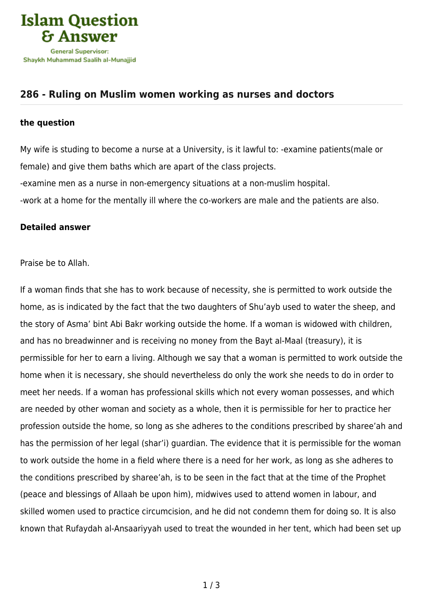

## **[286 - Ruling on Muslim women working as nurses and doctors](https://islamqa.com/en/answers/286/ruling-on-muslim-women-working-as-nurses-and-doctors)**

## **the question**

My wife is studing to become a nurse at a University, is it lawful to: -examine patients(male or female) and give them baths which are apart of the class projects. -examine men as a nurse in non-emergency situations at a non-muslim hospital. -work at a home for the mentally ill where the co-workers are male and the patients are also.

## **Detailed answer**

Praise be to Allah.

If a woman finds that she has to work because of necessity, she is permitted to work outside the home, as is indicated by the fact that the two daughters of Shu'ayb used to water the sheep, and the story of Asma' bint Abi Bakr working outside the home. If a woman is widowed with children, and has no breadwinner and is receiving no money from the Bayt al-Maal (treasury), it is permissible for her to earn a living. Although we say that a woman is permitted to work outside the home when it is necessary, she should nevertheless do only the work she needs to do in order to meet her needs. If a woman has professional skills which not every woman possesses, and which are needed by other woman and society as a whole, then it is permissible for her to practice her profession outside the home, so long as she adheres to the conditions prescribed by sharee'ah and has the permission of her legal (shar'i) guardian. The evidence that it is permissible for the woman to work outside the home in a field where there is a need for her work, as long as she adheres to the conditions prescribed by sharee'ah, is to be seen in the fact that at the time of the Prophet (peace and blessings of Allaah be upon him), midwives used to attend women in labour, and skilled women used to practice circumcision, and he did not condemn them for doing so. It is also known that Rufaydah al-Ansaariyyah used to treat the wounded in her tent, which had been set up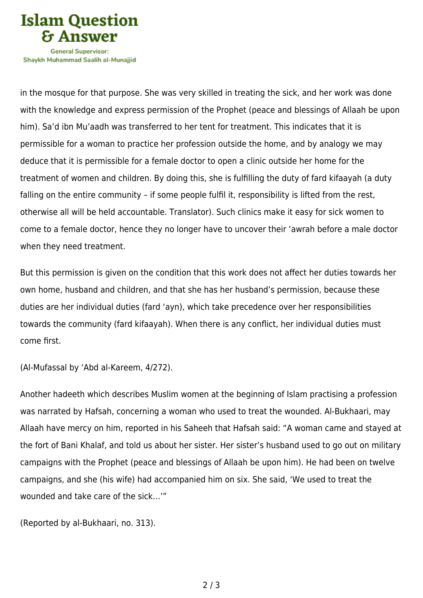

Shavkh Muhammad Saalih al-Munaiiid

in the mosque for that purpose. She was very skilled in treating the sick, and her work was done with the knowledge and express permission of the Prophet (peace and blessings of Allaah be upon him). Sa'd ibn Mu'aadh was transferred to her tent for treatment. This indicates that it is permissible for a woman to practice her profession outside the home, and by analogy we may deduce that it is permissible for a female doctor to open a clinic outside her home for the treatment of women and children. By doing this, she is fulfilling the duty of fard kifaayah (a duty falling on the entire community – if some people fulfil it, responsibility is lifted from the rest, otherwise all will be held accountable. Translator). Such clinics make it easy for sick women to come to a female doctor, hence they no longer have to uncover their 'awrah before a male doctor when they need treatment.

But this permission is given on the condition that this work does not affect her duties towards her own home, husband and children, and that she has her husband's permission, because these duties are her individual duties (fard 'ayn), which take precedence over her responsibilities towards the community (fard kifaayah). When there is any conflict, her individual duties must come first.

(Al-Mufassal by 'Abd al-Kareem, 4/272).

Another hadeeth which describes Muslim women at the beginning of Islam practising a profession was narrated by Hafsah, concerning a woman who used to treat the wounded. Al-Bukhaari, may Allaah have mercy on him, reported in his Saheeh that Hafsah said: "A woman came and stayed at the fort of Bani Khalaf, and told us about her sister. Her sister's husband used to go out on military campaigns with the Prophet (peace and blessings of Allaah be upon him). He had been on twelve campaigns, and she (his wife) had accompanied him on six. She said, 'We used to treat the wounded and take care of the sick…'"

(Reported by al-Bukhaari, no. 313).